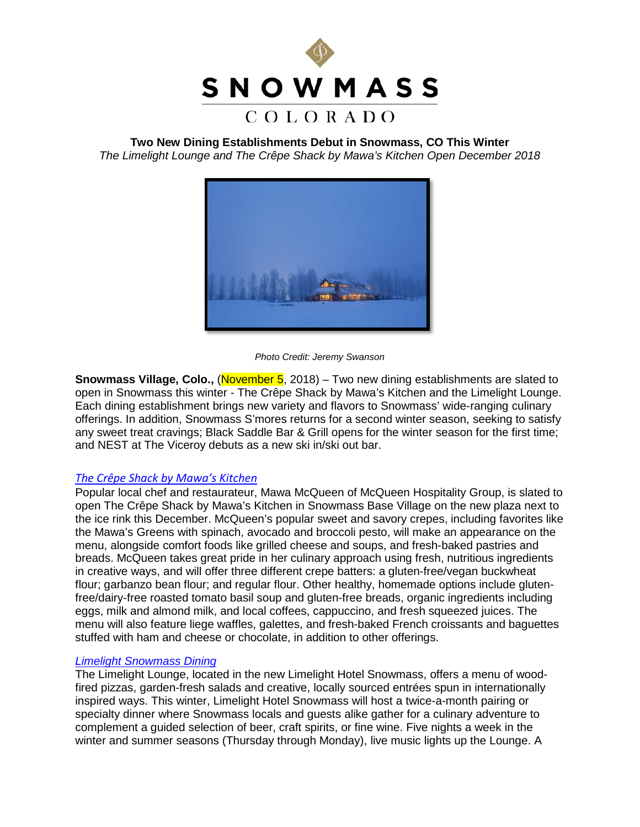

**Two New Dining Establishments Debut in Snowmass, CO This Winter** *The Limelight Lounge and The Crêpe Shack by Mawa's Kitchen Open December 2018*



*Photo Credit: Jeremy Swanson*

**Snowmass Village, Colo., (November 5, 2018)** – Two new dining establishments are slated to open in Snowmass this winter - The Crêpe Shack by Mawa's Kitchen and the Limelight Lounge. Each dining establishment brings new variety and flavors to Snowmass' wide-ranging culinary offerings. In addition, Snowmass S'mores returns for a second winter season, seeking to satisfy any sweet treat cravings; Black Saddle Bar & Grill opens for the winter season for the first time; and NEST at The Viceroy debuts as a new ski in/ski out bar.

# *[The Crêpe Shack by Mawa's Kitchen](http://www.allinsnowmass.com/2018/08/31/were-going-crazy-for-crepes/)*

Popular local chef and restaurateur, Mawa McQueen of McQueen Hospitality Group, is slated to open The Crêpe Shack by Mawa's Kitchen in Snowmass Base Village on the new plaza next to the ice rink this December. McQueen's popular sweet and savory crepes, including favorites like the Mawa's Greens with spinach, avocado and broccoli pesto, will make an appearance on the menu, alongside comfort foods like grilled cheese and soups, and fresh-baked pastries and breads. McQueen takes great pride in her culinary approach using fresh, nutritious ingredients in creative ways, and will offer three different crepe batters: a gluten-free/vegan buckwheat flour; garbanzo bean flour; and regular flour. Other healthy, homemade options include glutenfree/dairy-free roasted tomato basil soup and gluten-free breads, organic ingredients including eggs, milk and almond milk, and local coffees, cappuccino, and fresh squeezed juices. The menu will also feature liege waffles, galettes, and fresh-baked French croissants and baguettes stuffed with ham and cheese or chocolate, in addition to other offerings.

# *[Limelight Snowmass Dining](https://www.limelighthotels.com/snowmass/dining-at-the-lounge)*

The Limelight Lounge, located in the new Limelight Hotel Snowmass, offers a menu of woodfired pizzas, garden-fresh salads and creative, locally sourced entrées spun in internationally inspired ways. This winter, Limelight Hotel Snowmass will host a twice-a-month pairing or specialty dinner where Snowmass locals and guests alike gather for a culinary adventure to complement a guided selection of beer, craft spirits, or fine wine. Five nights a week in the winter and summer seasons (Thursday through Monday), live music lights up the Lounge. A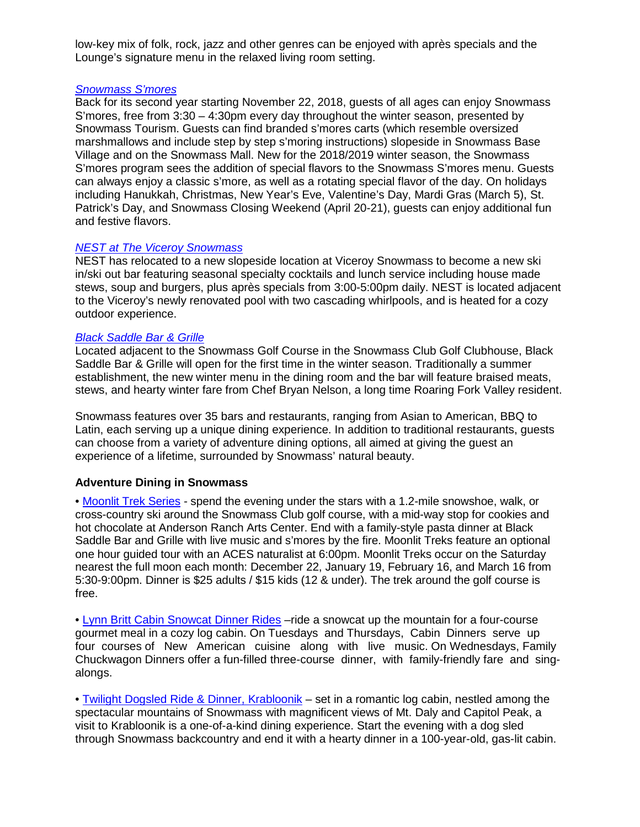low-key mix of folk, rock, jazz and other genres can be enjoyed with après specials and the Lounge's signature menu in the relaxed living room setting.

# *[Snowmass S'mores](https://www.gosnowmass.com/activity/snowmass-smores/)*

Back for its second year starting November 22, 2018, guests of all ages can enjoy Snowmass S'mores, free from 3:30 – 4:30pm every day throughout the winter season, presented by Snowmass Tourism. Guests can find branded s'mores carts (which resemble oversized marshmallows and include step by step s'moring instructions) slopeside in Snowmass Base Village and on the Snowmass Mall. New for the 2018/2019 winter season, the Snowmass S'mores program sees the addition of special flavors to the Snowmass S'mores menu. Guests can always enjoy a classic s'more, as well as a rotating special flavor of the day. On holidays including Hanukkah, Christmas, New Year's Eve, Valentine's Day, Mardi Gras (March 5), St. Patrick's Day, and Snowmass Closing Weekend (April 20-21), guests can enjoy additional fun and festive flavors.

### *[NEST at The Viceroy Snowmass](https://www.viceroyhotelsandresorts.com/en/snowmass/dining_and_nightlife/nest)*

NEST has relocated to a new slopeside location at Viceroy Snowmass to become a new ski in/ski out bar featuring seasonal specialty cocktails and lunch service including house made stews, soup and burgers, plus après specials from 3:00-5:00pm daily. NEST is located adjacent to the Viceroy's newly renovated pool with two cascading whirlpools, and is heated for a cozy outdoor experience.

### *[Black Saddle Bar & Grille](https://www.snowmassclub.com/dining/black-saddle-bar-and-grille)*

Located adjacent to the Snowmass Golf Course in the Snowmass Club Golf Clubhouse, Black Saddle Bar & Grille will open for the first time in the winter season. Traditionally a summer establishment, the new winter menu in the dining room and the bar will feature braised meats, stews, and hearty winter fare from Chef Bryan Nelson, a long time Roaring Fork Valley resident.

Snowmass features over 35 bars and restaurants, ranging from Asian to American, BBQ to Latin, each serving up a unique dining experience. In addition to traditional restaurants, guests can choose from a variety of adventure dining options, all aimed at giving the guest an experience of a lifetime, surrounded by Snowmass' natural beauty.

# **Adventure Dining in Snowmass**

• [Moonlit Trek Series](https://www.gosnowmass.com/activity/moonlit-treks/) *-* spend the evening under the stars with a 1.2-mile snowshoe, walk, or cross-country ski around the Snowmass Club golf course, with a mid-way stop for cookies and hot chocolate at Anderson Ranch Arts Center. End with a family-style pasta dinner at Black Saddle Bar and Grille with live music and s'mores by the fire. Moonlit Treks feature an optional one hour guided tour with an ACES naturalist at 6:00pm. Moonlit Treks occur on the Saturday nearest the full moon each month: December 22, January 19, February 16, and March 16 from 5:30-9:00pm. Dinner is \$25 adults / \$15 kids (12 & under). The trek around the golf course is free.

• [Lynn Britt Cabin Snowcat Dinner Rides](https://www.aspensnowmass.com/our-mountains/snowmass/dining/snowcat-dinners-at-lynn-britt-cabin) –ride a snowcat up the mountain for a four-course gourmet meal in a cozy log cabin. On Tuesdays and Thursdays, Cabin Dinners serve up four courses of New American cuisine along with live music. On Wednesdays, Family Chuckwagon Dinners offer a fun-filled three-course dinner, with family-friendly fare and singalongs.

• [Twilight Dogsled Ride & Dinner, Krabloonik](https://krabloonik.com/) – set in a romantic log cabin, nestled among the spectacular mountains of Snowmass with magnificent views of Mt. Daly and Capitol Peak, a visit to Krabloonik is a one-of-a-kind dining experience. Start the evening with a dog sled through Snowmass backcountry and end it with a hearty dinner in a 100-year-old, gas-lit cabin.